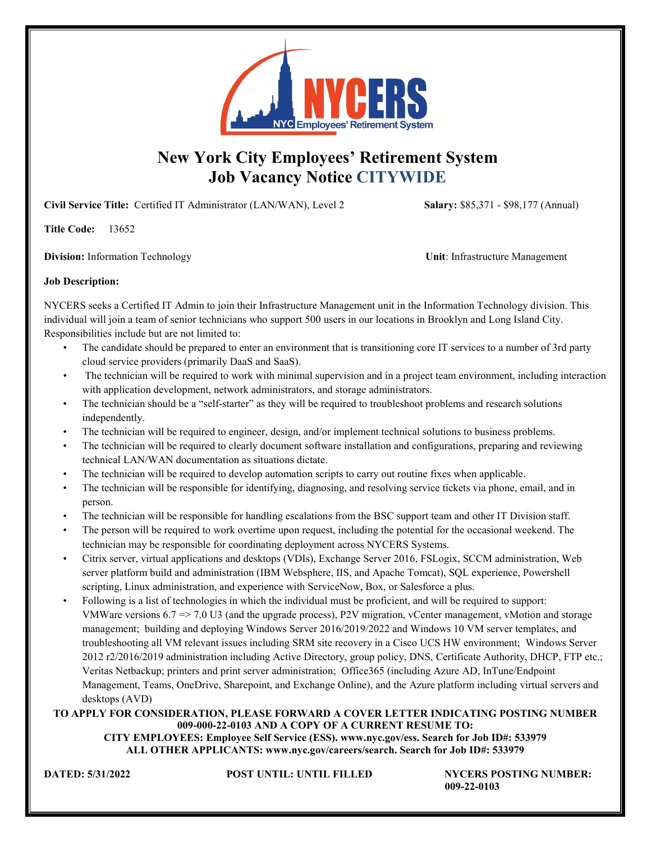

# **New York City Employees' Retirement System Job Vacancy Notice CITYWIDE**

**Civil Service Title:** Certified IT Administrator (LAN/WAN), Level 2 **Salary:** \$85,371 - \$98,177 (Annual)

**Title Code:** 13652

**Division:** Information Technology **View Contracts Unit**: Infrastructure Management

# **Job Description:**

NYCERS seeks a Certified IT Admin to join their Infrastructure Management unit in the Information Technology division. This individual will join a team of senior technicians who support 500 users in our locations in Brooklyn and Long Island City. Responsibilities include but are not limited to:

- The candidate should be prepared to enter an environment that is transitioning core IT services to a number of 3rd party cloud service providers (primarily DaaS and SaaS).
- The technician will be required to work with minimal supervision and in a project team environment, including interaction with application development, network administrators, and storage administrators.
- The technician should be a "self-starter" as they will be required to troubleshoot problems and research solutions independently.
- The technician will be required to engineer, design, and/or implement technical solutions to business problems.
- The technician will be required to clearly document software installation and configurations, preparing and reviewing technical LAN/WAN documentation as situations dictate.
- The technician will be required to develop automation scripts to carry out routine fixes when applicable.
- The technician will be responsible for identifying, diagnosing, and resolving service tickets via phone, email, and in person.
- The technician will be responsible for handling escalations from the BSC support team and other IT Division staff.
- The person will be required to work overtime upon request, including the potential for the occasional weekend. The technician may be responsible for coordinating deployment across NYCERS Systems.
- Citrix server, virtual applications and desktops (VDIs), Exchange Server 2016, FSLogix, SCCM administration, Web server platform build and administration (IBM Websphere, IIS, and Apache Tomcat), SQL experience, Powershell scripting, Linux administration, and experience with ServiceNow, Box, or Salesforce a plus.
- Following is a list of technologies in which the individual must be proficient, and will be required to support: VMWare versions 6.7 => 7.0 U3 (and the upgrade process), P2V migration, vCenter management, vMotion and storage management; building and deploying Windows Server 2016/2019/2022 and Windows 10 VM server templates, and troubleshooting all VM relevant issues including SRM site recovery in a Cisco UCS HW environment; Windows Server 2012 r2/2016/2019 administration including Active Directory, group policy, DNS, Certificate Authority, DHCP, FTP etc.; Veritas Netbackup; printers and print server administration; Office365 (including Azure AD, InTune/Endpoint Management, Teams, OneDrive, Sharepoint, and Exchange Online), and the Azure platform including virtual servers and desktops (AVD)

# **TO APPLY FOR CONSIDERATION, PLEASE FORWARD A COVER LETTER INDICATING POSTING NUMBER 009-000-22-0103 AND A COPY OF A CURRENT RESUME TO:**

**CITY EMPLOYEES: Employee Self Service (ESS). www.nyc.gov/ess. Search for Job ID#: 533979 ALL OTHER APPLICANTS: www.nyc.gov/careers/search. Search for Job ID#: 533979** 

**DATED: 5/31/2022 POST UNTIL: UNTIL FILLED NYCERS POSTING NUMBER: 009-22-0103**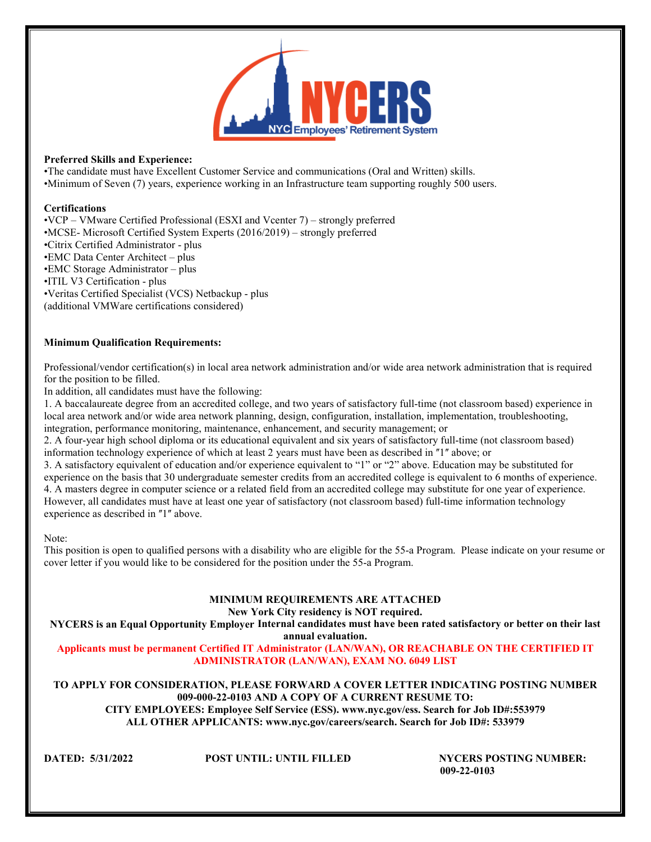

#### **Preferred Skills and Experience:**

•The candidate must have Excellent Customer Service and communications (Oral and Written) skills. •Minimum of Seven (7) years, experience working in an Infrastructure team supporting roughly 500 users.

#### **Certifications**

•VCP – VMware Certified Professional (ESXI and Vcenter 7) – strongly preferred •MCSE- Microsoft Certified System Experts (2016/2019) – strongly preferred •Citrix Certified Administrator - plus •EMC Data Center Architect – plus •EMC Storage Administrator – plus •ITIL V3 Certification - plus •Veritas Certified Specialist (VCS) Netbackup - plus (additional VMWare certifications considered)

# **Minimum Qualification Requirements:**

Professional/vendor certification(s) in local area network administration and/or wide area network administration that is required for the position to be filled.

In addition, all candidates must have the following:

1. A baccalaureate degree from an accredited college, and two years of satisfactory full‐time (not classroom based) experience in local area network and/or wide area network planning, design, configuration, installation, implementation, troubleshooting, integration, performance monitoring, maintenance, enhancement, and security management; or

2. A four-vear high school diploma or its educational equivalent and six years of satisfactory full-time (not classroom based) information technology experience of which at least 2 years must have been as described in "1" above; or

3. A satisfactory equivalent of education and/or experience equivalent to "1" or "2" above. Education may be substituted for experience on the basis that 30 undergraduate semester credits from an accredited college is equivalent to 6 months of experience. 4. A masters degree in computer science or a related field from an accredited college may substitute for one year of experience. However, all candidates must have at least one year of satisfactory (not classroom based) full‐time information technology experience as described in "1" above.

#### Note:

This position is open to qualified persons with a disability who are eligible for the 55-a Program. Please indicate on your resume or cover letter if you would like to be considered for the position under the 55-a Program.

# **MINIMUM REQUIREMENTS ARE ATTACHED**

**New York City residency is NOT required.**

**NYCERS is an Equal Opportunity Employer Internal candidates must have been rated satisfactory or better on their last annual evaluation.**

**Applicants must be permanent Certified IT Administrator (LAN/WAN), OR REACHABLE ON THE CERTIFIED IT ADMINISTRATOR (LAN/WAN), EXAM NO. 6049 LIST**

**TO APPLY FOR CONSIDERATION, PLEASE FORWARD A COVER LETTER INDICATING POSTING NUMBER 009-000-22-0103 AND A COPY OF A CURRENT RESUME TO: CITY EMPLOYEES: Employee Self Service (ESS). www.nyc.gov/ess. Search for Job ID#:553979 ALL OTHER APPLICANTS: www.nyc.gov/careers/search. Search for Job ID#: 533979**

**DATED: 5/31/2022 POST UNTIL: UNTIL FILLED NYCERS POSTING NUMBER: 009-22-0103**